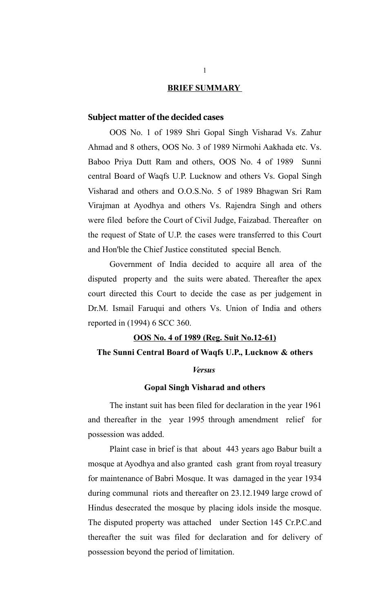#### **BRIEF SUMMARY**

## **Subject matter of the decided cases**

OOS No. 1 of 1989 Shri Gopal Singh Visharad Vs. Zahur Ahmad and 8 others, OOS No. 3 of 1989 Nirmohi Aakhada etc. Vs. Baboo Priya Dutt Ram and others, OOS No. 4 of 1989 Sunni central Board of Waqfs U.P. Lucknow and others Vs. Gopal Singh Visharad and others and O.O.S.No. 5 of 1989 Bhagwan Sri Ram Virajman at Ayodhya and others Vs. Rajendra Singh and others were filed before the Court of Civil Judge, Faizabad. Thereafter on the request of State of U.P. the cases were transferred to this Court and Hon'ble the Chief Justice constituted special Bench.

Government of India decided to acquire all area of the disputed property and the suits were abated. Thereafter the apex court directed this Court to decide the case as per judgement in Dr.M. Ismail Faruqui and others Vs. Union of India and others reported in (1994) 6 SCC 360.

#### **OOS No. 4 of 1989 (Reg. Suit No.12-61)**

#### **The Sunni Central Board of Waqfs U.P., Lucknow & others**

#### *Versus*

#### **Gopal Singh Visharad and others**

The instant suit has been filed for declaration in the year 1961 and thereafter in the year 1995 through amendment relief for possession was added.

Plaint case in brief is that about 443 years ago Babur built a mosque at Ayodhya and also granted cash grant from royal treasury for maintenance of Babri Mosque. It was damaged in the year 1934 during communal riots and thereafter on 23.12.1949 large crowd of Hindus desecrated the mosque by placing idols inside the mosque. The disputed property was attached under Section 145 Cr.P.C.and thereafter the suit was filed for declaration and for delivery of possession beyond the period of limitation.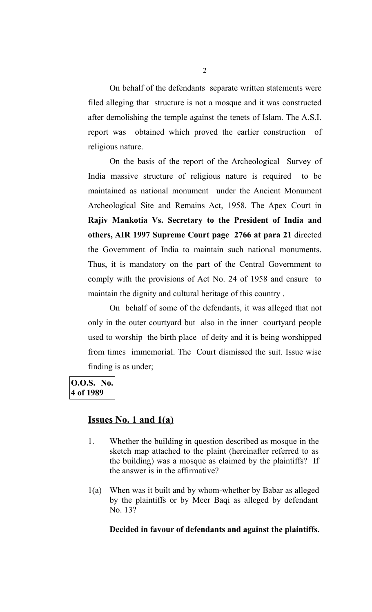On behalf of the defendants separate written statements were filed alleging that structure is not a mosque and it was constructed after demolishing the temple against the tenets of Islam. The A.S.I. report was obtained which proved the earlier construction of religious nature.

On the basis of the report of the Archeological Survey of India massive structure of religious nature is required to be maintained as national monument under the Ancient Monument Archeological Site and Remains Act, 1958. The Apex Court in **Rajiv Mankotia Vs. Secretary to the President of India and others, AIR 1997 Supreme Court page 2766 at para 21** directed the Government of India to maintain such national monuments. Thus, it is mandatory on the part of the Central Government to comply with the provisions of Act No. 24 of 1958 and ensure to maintain the dignity and cultural heritage of this country .

On behalf of some of the defendants, it was alleged that not only in the outer courtyard but also in the inner courtyard people used to worship the birth place of deity and it is being worshipped from times immemorial. The Court dismissed the suit. Issue wise finding is as under;

## **O.O.S. No. 4 of 1989**

## **Issues No. 1 and 1(a)**

- 1. Whether the building in question described as mosque in the sketch map attached to the plaint (hereinafter referred to as the building) was a mosque as claimed by the plaintiffs? If the answer is in the affirmative?
- 1(a) When was it built and by whom-whether by Babar as alleged by the plaintiffs or by Meer Baqi as alleged by defendant No. 13?

#### **Decided in favour of defendants and against the plaintiffs.**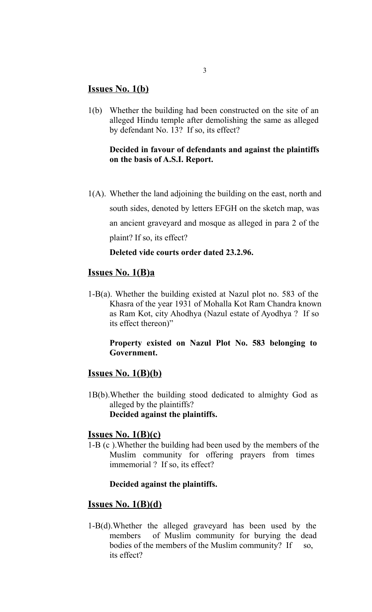## **Issues No. 1(b)**

1(b) Whether the building had been constructed on the site of an alleged Hindu temple after demolishing the same as alleged by defendant No. 13? If so, its effect?

## **Decided in favour of defendants and against the plaintiffs on the basis of A.S.I. Report.**

1(A). Whether the land adjoining the building on the east, north and south sides, denoted by letters EFGH on the sketch map, was an ancient graveyard and mosque as alleged in para 2 of the plaint? If so, its effect?

## **Deleted vide courts order dated 23.2.96.**

## **Issues No. 1(B)a**

1-B(a). Whether the building existed at Nazul plot no. 583 of the Khasra of the year 1931 of Mohalla Kot Ram Chandra known as Ram Kot, city Ahodhya (Nazul estate of Ayodhya ? If so its effect thereon)"

#### **Property existed on Nazul Plot No. 583 belonging to Government.**

## **Issues No. 1(B)(b)**

1B(b).Whether the building stood dedicated to almighty God as alleged by the plaintiffs? **Decided against the plaintiffs.** 

## **Issues No. 1(B)(c)**

1-B (c ).Whether the building had been used by the members of the Muslim community for offering prayers from times immemorial ? If so, its effect?

#### **Decided against the plaintiffs.**

## **Issues No. 1(B)(d)**

1-B(d).Whether the alleged graveyard has been used by the members of Muslim community for burying the dead bodies of the members of the Muslim community? If so, its effect?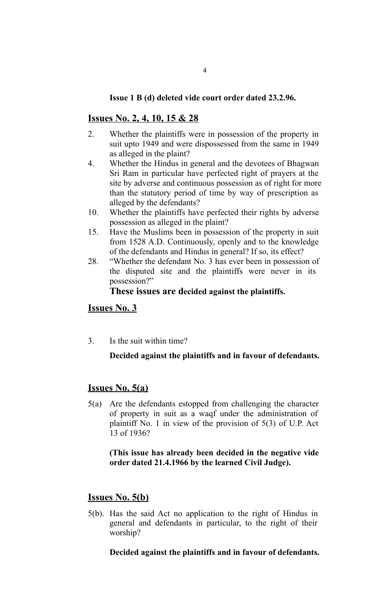## **Issue 1 B (d) deleted vide court order dated 23.2.96.**

# **Issues No. 2, 4, 10, 15 & 28**

- 2. Whether the plaintiffs were in possession of the property in suit upto 1949 and were dispossessed from the same in 1949 as alleged in the plaint?
- 4. Whether the Hindus in general and the devotees of Bhagwan Sri Ram in particular have perfected right of prayers at the site by adverse and continuous possession as of right for more than the statutory period of time by way of prescription as alleged by the defendants?
- 10. Whether the plaintiffs have perfected their rights by adverse possession as alleged in the plaint?
- 15. Have the Muslims been in possession of the property in suit from 1528 A.D. Continuously, openly and to the knowledge of the defendants and Hindus in general? If so, its effect?
- 28. "Whether the defendant No. 3 has ever been in possession of the disputed site and the plaintiffs were never in its possession?"

## **These issues are decided against the plaintiffs.**

## **Issues No. 3**

3. Is the suit within time?

## **Decided against the plaintiffs and in favour of defendants.**

# **Issues No. 5(a)**

5(a) Are the defendants estopped from challenging the character of property in suit as a waqf under the administration of plaintiff No. 1 in view of the provision of 5(3) of U.P. Act 13 of 1936?

## **(This issue has already been decided in the negative vide order dated 21.4.1966 by the learned Civil Judge).**

# **Issues No. 5(b)**

5(b). Has the said Act no application to the right of Hindus in general and defendants in particular, to the right of their worship?

## **Decided against the plaintiffs and in favour of defendants.**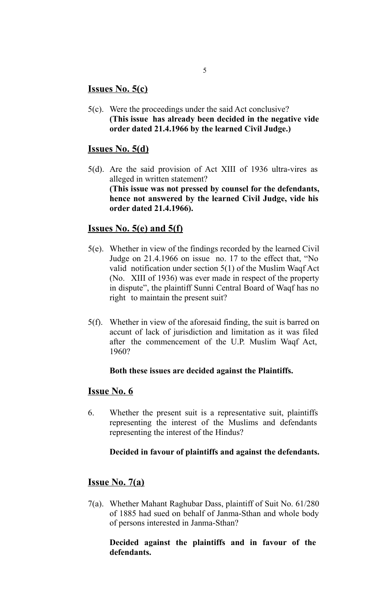# **Issues No. 5(c)**

5(c). Were the proceedings under the said Act conclusive? **(This issue has already been decided in the negative vide order dated 21.4.1966 by the learned Civil Judge.)**

# **Issues No. 5(d)**

5(d). Are the said provision of Act XIII of 1936 ultra-vires as alleged in written statement? **(This issue was not pressed by counsel for the defendants, hence not answered by the learned Civil Judge, vide his order dated 21.4.1966).**

# **Issues No. 5(e) and 5(f)**

- 5(e). Whether in view of the findings recorded by the learned Civil Judge on 21.4.1966 on issue no. 17 to the effect that, "No valid notification under section 5(1) of the Muslim Waqf Act (No. XIII of 1936) was ever made in respect of the property in dispute", the plaintiff Sunni Central Board of Waqf has no right to maintain the present suit?
- 5(f). Whether in view of the aforesaid finding, the suit is barred on accunt of lack of jurisdiction and limitation as it was filed after the commencement of the U.P. Muslim Waqf Act, 1960?

## **Both these issues are decided against the Plaintiffs.**

## **Issue No. 6**

6. Whether the present suit is a representative suit, plaintiffs representing the interest of the Muslims and defendants representing the interest of the Hindus?

## **Decided in favour of plaintiffs and against the defendants.**

## **Issue No. 7(a)**

7(a). Whether Mahant Raghubar Dass, plaintiff of Suit No. 61/280 of 1885 had sued on behalf of Janma-Sthan and whole body of persons interested in Janma-Sthan?

## **Decided against the plaintiffs and in favour of the defendants.**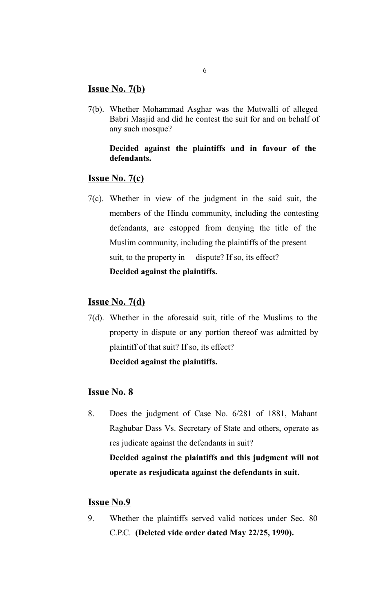## **Issue No. 7(b)**

7(b). Whether Mohammad Asghar was the Mutwalli of alleged Babri Masjid and did he contest the suit for and on behalf of any such mosque?

## **Decided against the plaintiffs and in favour of the defendants.**

## **Issue No. 7(c)**

7(c). Whether in view of the judgment in the said suit, the members of the Hindu community, including the contesting defendants, are estopped from denying the title of the Muslim community, including the plaintiffs of the present suit, to the property in dispute? If so, its effect? **Decided against the plaintiffs.**

## **Issue No. 7(d)**

7(d). Whether in the aforesaid suit, title of the Muslims to the property in dispute or any portion thereof was admitted by plaintiff of that suit? If so, its effect? **Decided against the plaintiffs.**

## **Issue No. 8**

8. Does the judgment of Case No. 6/281 of 1881, Mahant Raghubar Dass Vs. Secretary of State and others, operate as res judicate against the defendants in suit? **Decided against the plaintiffs and this judgment will not operate as resjudicata against the defendants in suit.** 

## **Issue No.9**

9. Whether the plaintiffs served valid notices under Sec. 80 C.P.C. **(Deleted vide order dated May 22/25, 1990).**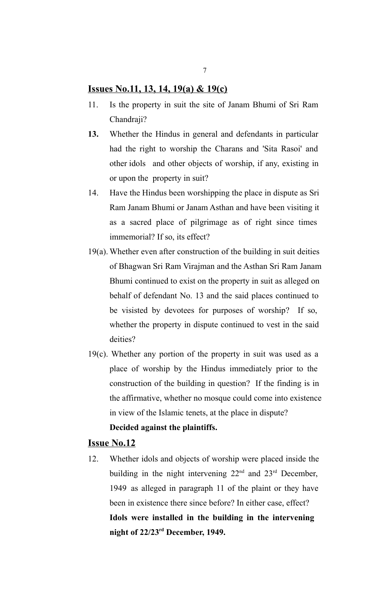## **Issues No.11, 13, 14, 19(a) & 19(c)**

- 11. Is the property in suit the site of Janam Bhumi of Sri Ram Chandraji?
- **13.** Whether the Hindus in general and defendants in particular had the right to worship the Charans and 'Sita Rasoi' and other idols and other objects of worship, if any, existing in or upon the property in suit?
- 14. Have the Hindus been worshipping the place in dispute as Sri Ram Janam Bhumi or Janam Asthan and have been visiting it as a sacred place of pilgrimage as of right since times immemorial? If so, its effect?
- 19(a). Whether even after construction of the building in suit deities of Bhagwan Sri Ram Virajman and the Asthan Sri Ram Janam Bhumi continued to exist on the property in suit as alleged on behalf of defendant No. 13 and the said places continued to be visisted by devotees for purposes of worship? If so, whether the property in dispute continued to vest in the said deities?
- 19(c). Whether any portion of the property in suit was used as a place of worship by the Hindus immediately prior to the construction of the building in question? If the finding is in the affirmative, whether no mosque could come into existence in view of the Islamic tenets, at the place in dispute?

## **Decided against the plaintiffs.**

#### **Issue No.12**

12. Whether idols and objects of worship were placed inside the building in the night intervening  $22<sup>nd</sup>$  and  $23<sup>rd</sup>$  December, 1949 as alleged in paragraph 11 of the plaint or they have been in existence there since before? In either case, effect? **Idols were installed in the building in the intervening night of 22/23rd December, 1949.**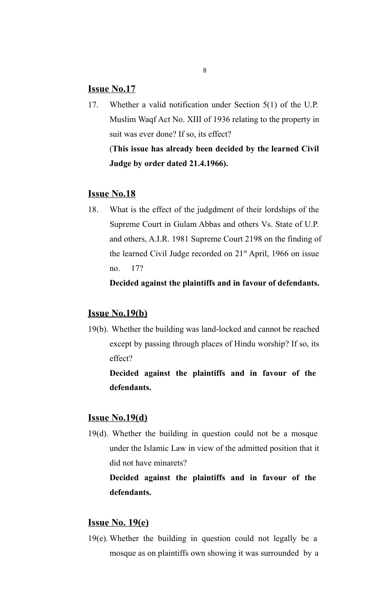## **Issue No.17**

17. Whether a valid notification under Section 5(1) of the U.P. Muslim Waqf Act No. XIII of 1936 relating to the property in suit was ever done? If so, its effect? (**This issue has already been decided by the learned Civil Judge by order dated 21.4.1966).** 

## **Issue No.18**

18. What is the effect of the judgdment of their lordships of the Supreme Court in Gulam Abbas and others Vs. State of U.P. and others, A.I.R. 1981 Supreme Court 2198 on the finding of the learned Civil Judge recorded on  $21<sup>st</sup>$  April, 1966 on issue no. 17?

**Decided against the plaintiffs and in favour of defendants.**

## **Issue No.19(b)**

19(b). Whether the building was land-locked and cannot be reached except by passing through places of Hindu worship? If so, its effect?

**Decided against the plaintiffs and in favour of the defendants.**

## **Issue No.19(d)**

19(d). Whether the building in question could not be a mosque under the Islamic Law in view of the admitted position that it did not have minarets?

**Decided against the plaintiffs and in favour of the defendants.**

## **Issue No. 19(e)**

19(e). Whether the building in question could not legally be a mosque as on plaintiffs own showing it was surrounded by a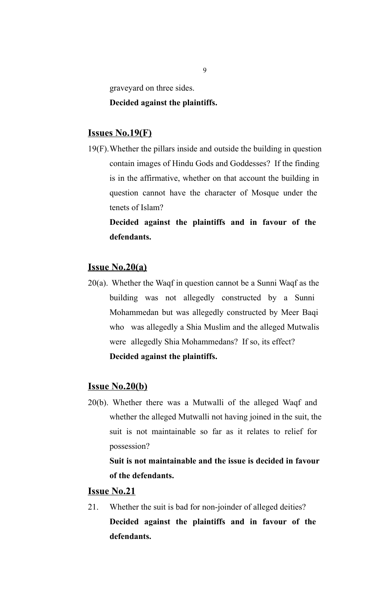graveyard on three sides.

#### **Decided against the plaintiffs.**

## **Issues No.19(F)**

19(F).Whether the pillars inside and outside the building in question contain images of Hindu Gods and Goddesses? If the finding is in the affirmative, whether on that account the building in question cannot have the character of Mosque under the tenets of Islam?

**Decided against the plaintiffs and in favour of the defendants.**

## **Issue No.20(a)**

20(a). Whether the Waqf in question cannot be a Sunni Waqf as the building was not allegedly constructed by a Sunni Mohammedan but was allegedly constructed by Meer Baqi who was allegedly a Shia Muslim and the alleged Mutwalis were allegedly Shia Mohammedans? If so, its effect? **Decided against the plaintiffs.**

## **Issue No.20(b)**

20(b). Whether there was a Mutwalli of the alleged Waqf and whether the alleged Mutwalli not having joined in the suit, the suit is not maintainable so far as it relates to relief for possession?

**Suit is not maintainable and the issue is decided in favour of the defendants.**

## **Issue No.21**

21. Whether the suit is bad for non-joinder of alleged deities? **Decided against the plaintiffs and in favour of the defendants.**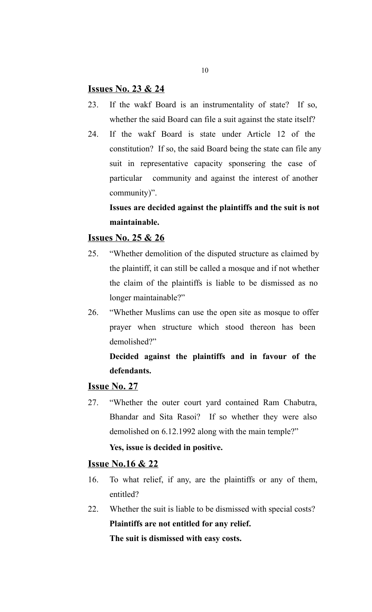## **Issues No. 23 & 24**

- 23. If the wakf Board is an instrumentality of state? If so, whether the said Board can file a suit against the state itself?
- 24. If the wakf Board is state under Article 12 of the constitution? If so, the said Board being the state can file any suit in representative capacity sponsering the case of particular community and against the interest of another community)".

# **Issues are decided against the plaintiffs and the suit is not maintainable.**

# **Issues No. 25 & 26**

- 25. "Whether demolition of the disputed structure as claimed by the plaintiff, it can still be called a mosque and if not whether the claim of the plaintiffs is liable to be dismissed as no longer maintainable?"
- 26. "Whether Muslims can use the open site as mosque to offer prayer when structure which stood thereon has been demolished?"

# **Decided against the plaintiffs and in favour of the defendants.**

#### **Issue No. 27**

27. "Whether the outer court yard contained Ram Chabutra, Bhandar and Sita Rasoi? If so whether they were also demolished on 6.12.1992 along with the main temple?"

## **Yes, issue is decided in positive.**

## **Issue No.16 & 22**

- 16. To what relief, if any, are the plaintiffs or any of them, entitled?
- 22. Whether the suit is liable to be dismissed with special costs? **Plaintiffs are not entitled for any relief. The suit is dismissed with easy costs.**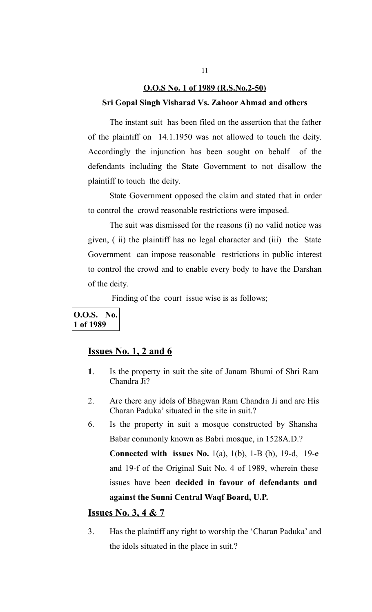# **O.O.S No. 1 of 1989 (R.S.No.2-50) Sri Gopal Singh Visharad Vs. Zahoor Ahmad and others**

The instant suit has been filed on the assertion that the father of the plaintiff on 14.1.1950 was not allowed to touch the deity. Accordingly the injunction has been sought on behalf of the defendants including the State Government to not disallow the plaintiff to touch the deity.

State Government opposed the claim and stated that in order to control the crowd reasonable restrictions were imposed.

The suit was dismissed for the reasons (i) no valid notice was given, ( ii) the plaintiff has no legal character and (iii) the State Government can impose reasonable restrictions in public interest to control the crowd and to enable every body to have the Darshan of the deity.

Finding of the court issue wise is as follows;

## **O.O.S. No. 1 of 1989**

## **Issues No. 1, 2 and 6**

- **1**. Is the property in suit the site of Janam Bhumi of Shri Ram Chandra Ji?
- 2. Are there any idols of Bhagwan Ram Chandra Ji and are His Charan Paduka' situated in the site in suit.?
- 6. Is the property in suit a mosque constructed by Shansha Babar commonly known as Babri mosque, in 1528A.D.?

**Connected with issues No.** 1(a), 1(b), 1-B (b), 19-d, 19-e and 19-f of the Original Suit No. 4 of 1989, wherein these issues have been **decided in favour of defendants and against the Sunni Central Waqf Board, U.P.**

## **Issues No. 3, 4 & 7**

3. Has the plaintiff any right to worship the 'Charan Paduka' and the idols situated in the place in suit.?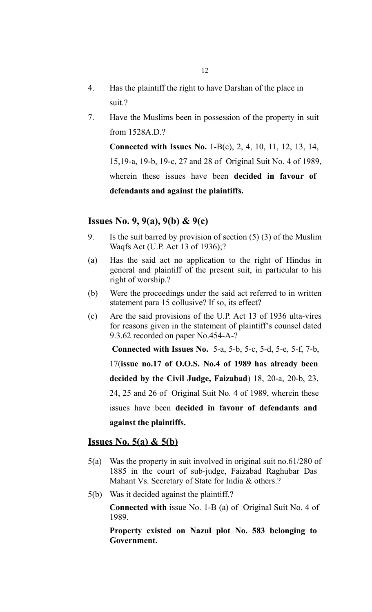- 4. Has the plaintiff the right to have Darshan of the place in suit.?
- 7. Have the Muslims been in possession of the property in suit from 1528A.D.?

**Connected with Issues No.** 1-B(c), 2, 4, 10, 11, 12, 13, 14, 15,19-a, 19-b, 19-c, 27 and 28 of Original Suit No. 4 of 1989, wherein these issues have been **decided in favour of defendants and against the plaintiffs.**

#### **Issues No. 9, 9(a), 9(b) & 9(c)**

- 9. Is the suit barred by provision of section (5) (3) of the Muslim Waqfs Act (U.P. Act 13 of 1936);?
- (a) Has the said act no application to the right of Hindus in general and plaintiff of the present suit, in particular to his right of worship.?
- (b) Were the proceedings under the said act referred to in written statement para 15 collusive? If so, its effect?
- (c) Are the said provisions of the U.P. Act 13 of 1936 ulta-vires for reasons given in the statement of plaintiff's counsel dated 9.3.62 recorded on paper No.454-A-?

 **Connected with Issues No.** 5-a, 5-b, 5-c, 5-d, 5-e, 5-f, 7-b,

17(**issue no.17 of O.O.S. No.4 of 1989 has already been** 

**decided by the Civil Judge, Faizabad**) 18, 20-a, 20-b, 23,

24, 25 and 26 of Original Suit No. 4 of 1989, wherein these

issues have been **decided in favour of defendants and against the plaintiffs.**

## **Issues No. 5(a) & 5(b)**

- 5(a) Was the property in suit involved in original suit no.61/280 of 1885 in the court of sub-judge, Faizabad Raghubar Das Mahant Vs. Secretary of State for India & others.?
- 5(b) Was it decided against the plaintiff.?

**Connected with** issue No. 1-B (a) of Original Suit No. 4 of 1989.

**Property existed on Nazul plot No. 583 belonging to Government.**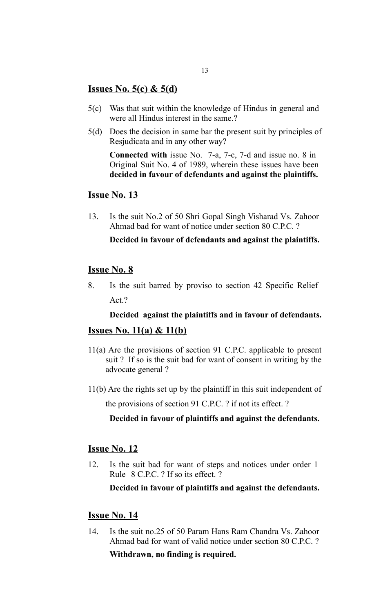## **Issues No. 5(c) & 5(d)**

- 5(c) Was that suit within the knowledge of Hindus in general and were all Hindus interest in the same.?
- 5(d) Does the decision in same bar the present suit by principles of Resjudicata and in any other way?

**Connected with** issue No. 7-a, 7-c, 7-d and issue no. 8 in Original Suit No. 4 of 1989, wherein these issues have been **decided in favour of defendants and against the plaintiffs.**

## **Issue No. 13**

13. Is the suit No.2 of 50 Shri Gopal Singh Visharad Vs. Zahoor Ahmad bad for want of notice under section 80 C.P.C. ?

**Decided in favour of defendants and against the plaintiffs.**

## **Issue No. 8**

8. Is the suit barred by proviso to section 42 Specific Relief Act.?

## **Decided against the plaintiffs and in favour of defendants.**

## **Issues No. 11(a) & 11(b)**

- 11(a) Are the provisions of section 91 C.P.C. applicable to present suit ? If so is the suit bad for want of consent in writing by the advocate general ?
- 11(b) Are the rights set up by the plaintiff in this suit independent of

the provisions of section 91 C.P.C. ? if not its effect. ?

## **Decided in favour of plaintiffs and against the defendants.**

## **Issue No. 12**

12. Is the suit bad for want of steps and notices under order 1 Rule 8 C.P.C. ? If so its effect. ?

**Decided in favour of plaintiffs and against the defendants.**

## **Issue No. 14**

14. Is the suit no.25 of 50 Param Hans Ram Chandra Vs. Zahoor Ahmad bad for want of valid notice under section 80 C.P.C. ?

#### **Withdrawn, no finding is required.**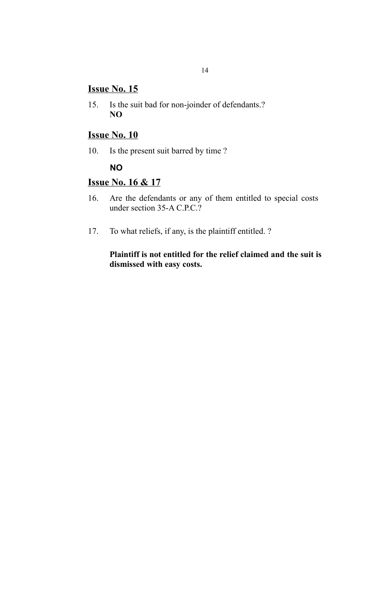## **Issue No. 15**

15. Is the suit bad for non-joinder of defendants.? **NO**

# **Issue No. 10**

10. Is the present suit barred by time ?

## **NO**

## **Issue No. 16 & 17**

- 16. Are the defendants or any of them entitled to special costs under section 35-A C.P.C.?
- 17. To what reliefs, if any, is the plaintiff entitled. ?

**Plaintiff is not entitled for the relief claimed and the suit is dismissed with easy costs.**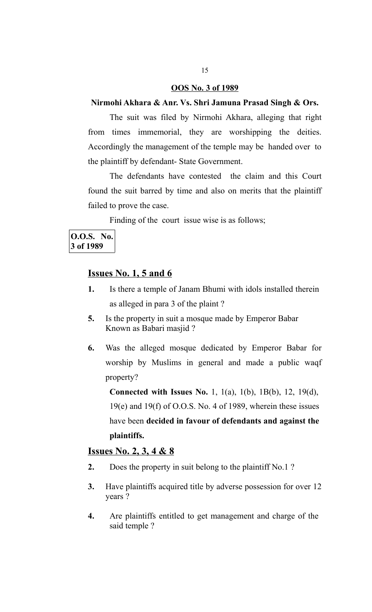## **OOS No. 3 of 1989**

## **Nirmohi Akhara & Anr. Vs. Shri Jamuna Prasad Singh & Ors.**

The suit was filed by Nirmohi Akhara, alleging that right from times immemorial, they are worshipping the deities. Accordingly the management of the temple may be handed over to the plaintiff by defendant- State Government.

The defendants have contested the claim and this Court found the suit barred by time and also on merits that the plaintiff failed to prove the case.

Finding of the court issue wise is as follows;

## **O.O.S. No. 3 of 1989**

## **Issues No. 1, 5 and 6**

- **1.** Is there a temple of Janam Bhumi with idols installed therein as alleged in para 3 of the plaint ?
- **5.** Is the property in suit a mosque made by Emperor Babar Known as Babari masjid ?
- **6.** Was the alleged mosque dedicated by Emperor Babar for worship by Muslims in general and made a public waqf property?

**Connected with Issues No.** 1, 1(a), 1(b), 1B(b), 12, 19(d), 19(e) and 19(f) of O.O.S. No. 4 of 1989, wherein these issues have been **decided in favour of defendants and against the plaintiffs.** 

## **Issues No. 2, 3, 4 & 8**

- **2.** Does the property in suit belong to the plaintiff No.1?
- **3.** Have plaintiffs acquired title by adverse possession for over 12 years ?
- **4.** Are plaintiffs entitled to get management and charge of the said temple ?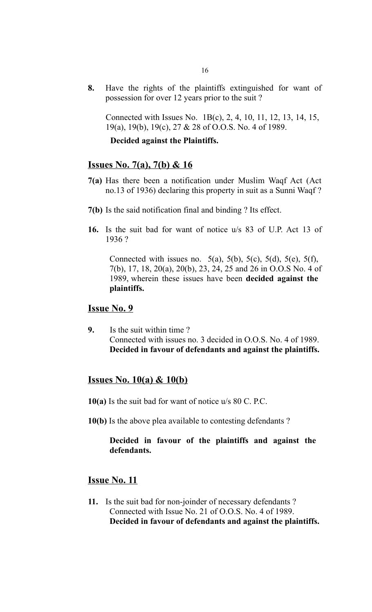**8.** Have the rights of the plaintiffs extinguished for want of possession for over 12 years prior to the suit ?

Connected with Issues No. 1B(c), 2, 4, 10, 11, 12, 13, 14, 15, 19(a), 19(b), 19(c), 27 & 28 of O.O.S. No. 4 of 1989.

#### **Decided against the Plaintiffs.**

## **Issues No. 7(a), 7(b) & 16**

- **7(a)** Has there been a notification under Muslim Waqf Act (Act no.13 of 1936) declaring this property in suit as a Sunni Waqf ?
- **7(b)** Is the said notification final and binding ? Its effect.
- **16.** Is the suit bad for want of notice u/s 83 of U.P. Act 13 of 1936 ?

Connected with issues no.  $5(a)$ ,  $5(b)$ ,  $5(c)$ ,  $5(d)$ ,  $5(e)$ ,  $5(f)$ , 7(b), 17, 18, 20(a), 20(b), 23, 24, 25 and 26 in O.O.S No. 4 of 1989, wherein these issues have been **decided against the plaintiffs.** 

## **Issue No. 9**

**9.** Is the suit within time ? Connected with issues no. 3 decided in O.O.S. No. 4 of 1989. **Decided in favour of defendants and against the plaintiffs.** 

#### **Issues No. 10(a) & 10(b)**

- **10(a)** Is the suit bad for want of notice u/s 80 C. P.C.
- **10(b)** Is the above plea available to contesting defendants ?

## **Decided in favour of the plaintiffs and against the defendants.**

## **Issue No. 11**

**11.** Is the suit bad for non-joinder of necessary defendants ? Connected with Issue No. 21 of O.O.S. No. 4 of 1989. **Decided in favour of defendants and against the plaintiffs.**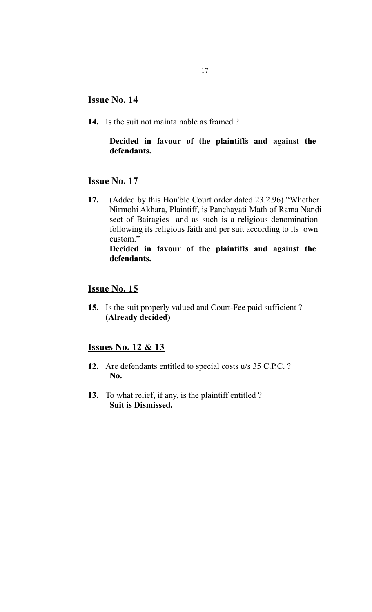## **Issue No. 14**

**14.** Is the suit not maintainable as framed ?

## **Decided in favour of the plaintiffs and against the defendants.**

## **Issue No. 17**

**17.** (Added by this Hon'ble Court order dated 23.2.96) "Whether Nirmohi Akhara, Plaintiff, is Panchayati Math of Rama Nandi sect of Bairagies and as such is a religious denomination following its religious faith and per suit according to its own custom." **Decided in favour of the plaintiffs and against the** 

# **defendants.**

# **Issue No. 15**

**15.** Is the suit properly valued and Court-Fee paid sufficient ? **(Already decided)**

## **Issues No. 12 & 13**

- **12.** Are defendants entitled to special costs u/s 35 C.P.C. ? **No.**
- **13.** To what relief, if any, is the plaintiff entitled ? **Suit is Dismissed.**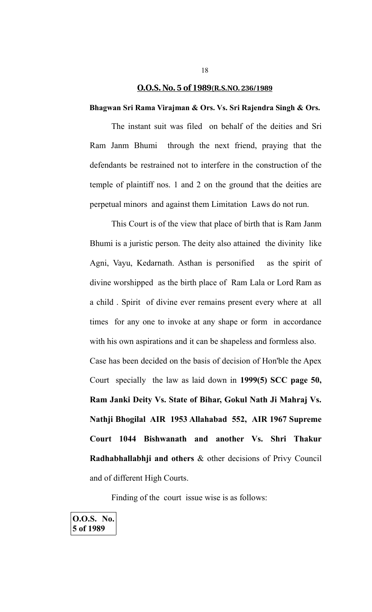#### **O.O.S. No. 5 of 1989 (R.S.NO. 236/1989**

#### **Bhagwan Sri Rama Virajman & Ors. Vs. Sri Rajendra Singh & Ors.**

The instant suit was filed on behalf of the deities and Sri Ram Janm Bhumi through the next friend, praying that the defendants be restrained not to interfere in the construction of the temple of plaintiff nos. 1 and 2 on the ground that the deities are perpetual minors and against them Limitation Laws do not run.

This Court is of the view that place of birth that is Ram Janm Bhumi is a juristic person. The deity also attained the divinity like Agni, Vayu, Kedarnath. Asthan is personified as the spirit of divine worshipped as the birth place of Ram Lala or Lord Ram as a child . Spirit of divine ever remains present every where at all times for any one to invoke at any shape or form in accordance with his own aspirations and it can be shapeless and formless also. Case has been decided on the basis of decision of Hon'ble the Apex Court specially the law as laid down in **1999(5) SCC page 50, Ram Janki Deity Vs. State of Bihar, Gokul Nath Ji Mahraj Vs. Nathji Bhogilal AIR 1953 Allahabad 552, AIR 1967 Supreme Court 1044 Bishwanath and another Vs. Shri Thakur Radhabhallabhji and others** & other decisions of Privy Council

and of different High Courts.

Finding of the court issue wise is as follows: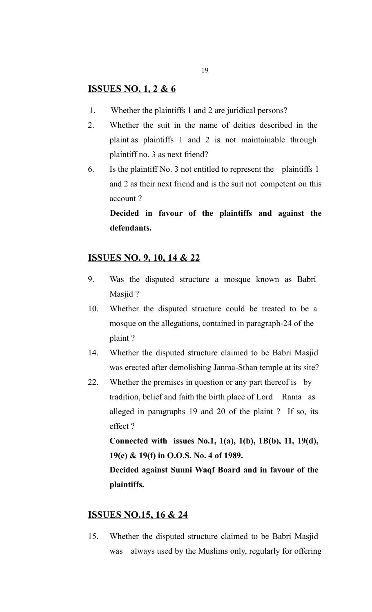# **ISSUES NO. 1, 2 & 6**

- 1. Whether the plaintiffs 1 and 2 are juridical persons?
- 2. Whether the suit in the name of deities described in the plaint as plaintiffs 1 and 2 is not maintainable through plaintiff no. 3 as next friend?
- 6. Is the plaintiff No. 3 not entitled to represent the plaintiffs 1 and 2 as their next friend and is the suit not competent on this account ?

**Decided in favour of the plaintiffs and against the defendants.**

## **ISSUES NO. 9, 10, 14 & 22**

- 9. Was the disputed structure a mosque known as Babri Masjid ?
- 10. Whether the disputed structure could be treated to be a mosque on the allegations, contained in paragraph-24 of the plaint ?
- 14. Whether the disputed structure claimed to be Babri Masjid was erected after demolishing Janma-Sthan temple at its site?
- 22. Whether the premises in question or any part thereof is by tradition, belief and faith the birth place of Lord Rama as alleged in paragraphs 19 and 20 of the plaint ? If so, its effect ?

**Connected with issues No.1, 1(a), 1(b), 1B(b), 11, 19(d), 19(e) & 19(f) in O.O.S. No. 4 of 1989.**

**Decided against Sunni Waqf Board and in favour of the plaintiffs.** 

## **ISSUES NO.15, 16 & 24**

15. Whether the disputed structure claimed to be Babri Masjid was always used by the Muslims only, regularly for offering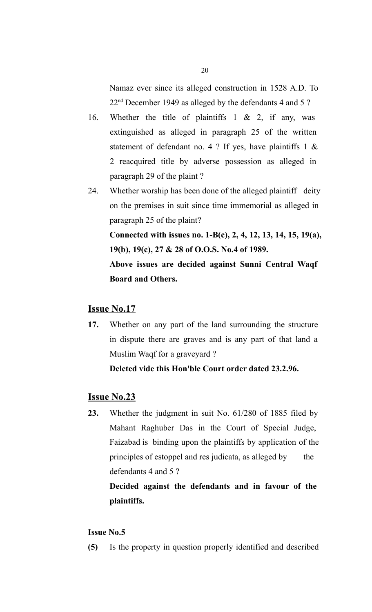Namaz ever since its alleged construction in 1528 A.D. To 22<sup>nd</sup> December 1949 as alleged by the defendants 4 and 5 ?

- 16. Whether the title of plaintiffs 1 & 2, if any, was extinguished as alleged in paragraph 25 of the written statement of defendant no. 4 ? If yes, have plaintiffs 1  $\&$ 2 reacquired title by adverse possession as alleged in paragraph 29 of the plaint ?
- 24. Whether worship has been done of the alleged plaintiff deity on the premises in suit since time immemorial as alleged in paragraph 25 of the plaint? **Connected with issues no. 1-B(c), 2, 4, 12, 13, 14, 15, 19(a), 19(b), 19(c), 27 & 28 of O.O.S. No.4 of 1989. Above issues are decided against Sunni Central Waqf**

**Board and Others.**

## **Issue No.17**

**17.** Whether on any part of the land surrounding the structure in dispute there are graves and is any part of that land a Muslim Waqf for a graveyard ?

**Deleted vide this Hon'ble Court order dated 23.2.96.** 

## **Issue No.23**

**23.** Whether the judgment in suit No. 61/280 of 1885 filed by Mahant Raghuber Das in the Court of Special Judge, Faizabad is binding upon the plaintiffs by application of the principles of estoppel and res judicata, as alleged by the defendants 4 and 5 ?

**Decided against the defendants and in favour of the plaintiffs.**

#### **Issue No.5**

**(5)** Is the property in question properly identified and described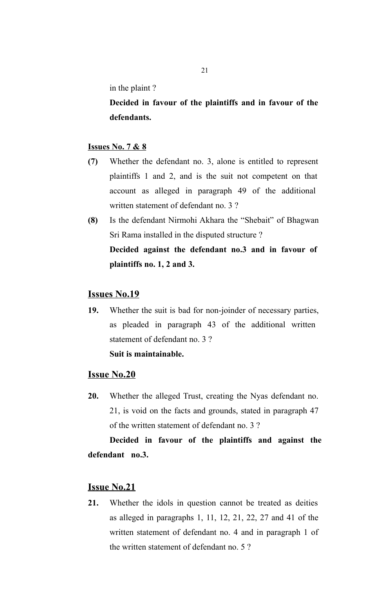in the plaint ?

**Decided in favour of the plaintiffs and in favour of the defendants.**

## **Issues No. 7 & 8**

- **(7)** Whether the defendant no. 3, alone is entitled to represent plaintiffs 1 and 2, and is the suit not competent on that account as alleged in paragraph 49 of the additional written statement of defendant no. 3 ?
- **(8)** Is the defendant Nirmohi Akhara the "Shebait" of Bhagwan Sri Rama installed in the disputed structure ? **Decided against the defendant no.3 and in favour of plaintiffs no. 1, 2 and 3.**

## **Issues No.19**

**19.** Whether the suit is bad for non-joinder of necessary parties, as pleaded in paragraph 43 of the additional written statement of defendant no. 3 ? **Suit is maintainable.** 

#### **Issue No.20**

**20.** Whether the alleged Trust, creating the Nyas defendant no. 21, is void on the facts and grounds, stated in paragraph 47 of the written statement of defendant no. 3 ?

**Decided in favour of the plaintiffs and against the defendant no.3.**

## **Issue No.21**

**21.** Whether the idols in question cannot be treated as deities as alleged in paragraphs 1, 11, 12, 21, 22, 27 and 41 of the written statement of defendant no. 4 and in paragraph 1 of the written statement of defendant no. 5 ?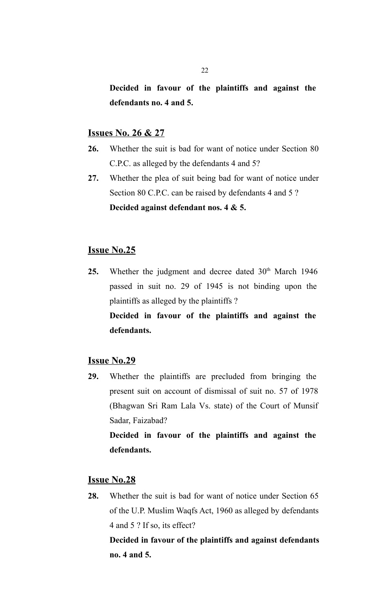**Decided in favour of the plaintiffs and against the defendants no. 4 and 5.**

## **Issues No. 26 & 27**

- **26.** Whether the suit is bad for want of notice under Section 80 C.P.C. as alleged by the defendants 4 and 5?
- **27.** Whether the plea of suit being bad for want of notice under Section 80 C.P.C. can be raised by defendants 4 and 5 ? **Decided against defendant nos. 4 & 5.**

# **Issue No.25**

25. Whether the judgment and decree dated 30<sup>th</sup> March 1946 passed in suit no. 29 of 1945 is not binding upon the plaintiffs as alleged by the plaintiffs ? **Decided in favour of the plaintiffs and against the** 

**defendants.**

#### **Issue No.29**

**29.** Whether the plaintiffs are precluded from bringing the present suit on account of dismissal of suit no. 57 of 1978 (Bhagwan Sri Ram Lala Vs. state) of the Court of Munsif Sadar, Faizabad?

**Decided in favour of the plaintiffs and against the defendants.**

## **Issue No.28**

**28.** Whether the suit is bad for want of notice under Section 65 of the U.P. Muslim Waqfs Act, 1960 as alleged by defendants 4 and 5 ? If so, its effect?

**Decided in favour of the plaintiffs and against defendants no. 4 and 5.**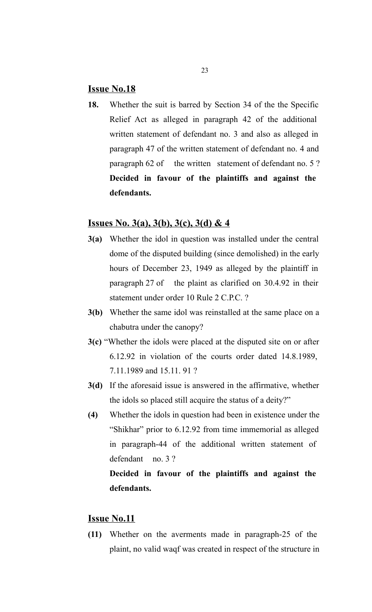## **Issue No.18**

**18.** Whether the suit is barred by Section 34 of the the Specific Relief Act as alleged in paragraph 42 of the additional written statement of defendant no. 3 and also as alleged in paragraph 47 of the written statement of defendant no. 4 and paragraph 62 of the written statement of defendant no. 5 ? **Decided in favour of the plaintiffs and against the defendants.**

## **Issues No. 3(a), 3(b), 3(c), 3(d) & 4**

- **3(a)** Whether the idol in question was installed under the central dome of the disputed building (since demolished) in the early hours of December 23, 1949 as alleged by the plaintiff in paragraph 27 of the plaint as clarified on 30.4.92 in their statement under order 10 Rule 2 C.P.C. ?
- **3(b)** Whether the same idol was reinstalled at the same place on a chabutra under the canopy?
- **3(c)** "Whether the idols were placed at the disputed site on or after 6.12.92 in violation of the courts order dated 14.8.1989, 7.11.1989 and 15.11. 91 ?
- **3(d)** If the aforesaid issue is answered in the affirmative, whether the idols so placed still acquire the status of a deity?"
- **(4)** Whether the idols in question had been in existence under the "Shikhar" prior to 6.12.92 from time immemorial as alleged in paragraph-44 of the additional written statement of defendant no. 3 ?

# **Decided in favour of the plaintiffs and against the defendants.**

## **Issue No.11**

**(11)** Whether on the averments made in paragraph-25 of the plaint, no valid waqf was created in respect of the structure in